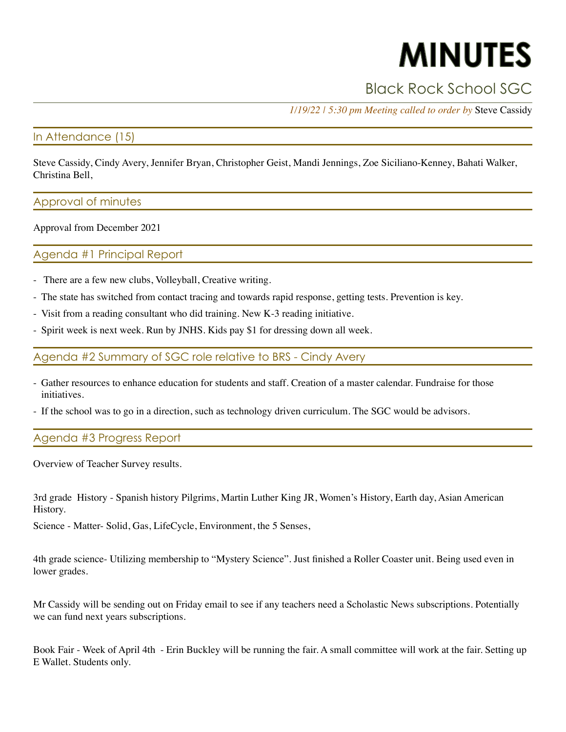# **MINUTES**

# Black Rock School SGC

*1/19/22 | 5:30 pm Meeting called to order by* Steve Cassidy

#### In Attendance (15)

Steve Cassidy, Cindy Avery, Jennifer Bryan, Christopher Geist, Mandi Jennings, Zoe Siciliano-Kenney, Bahati Walker, Christina Bell,

#### Approval of minutes

Approval from December 2021

### Agenda #1 Principal Report

- There are a few new clubs, Volleyball, Creative writing.
- The state has switched from contact tracing and towards rapid response, getting tests. Prevention is key.
- Visit from a reading consultant who did training. New K-3 reading initiative.
- Spirit week is next week. Run by JNHS. Kids pay \$1 for dressing down all week.

Agenda #2 Summary of SGC role relative to BRS - Cindy Avery

- Gather resources to enhance education for students and staff. Creation of a master calendar. Fundraise for those initiatives.
- If the school was to go in a direction, such as technology driven curriculum. The SGC would be advisors.

# Agenda #3 Progress Report

Overview of Teacher Survey results.

3rd grade History - Spanish history Pilgrims, Martin Luther King JR, Women's History, Earth day, Asian American History.

Science - Matter- Solid, Gas, LifeCycle, Environment, the 5 Senses,

4th grade science- Utilizing membership to "Mystery Science". Just finished a Roller Coaster unit. Being used even in lower grades.

Mr Cassidy will be sending out on Friday email to see if any teachers need a Scholastic News subscriptions. Potentially we can fund next years subscriptions.

Book Fair - Week of April 4th - Erin Buckley will be running the fair. A small committee will work at the fair. Setting up E Wallet. Students only.